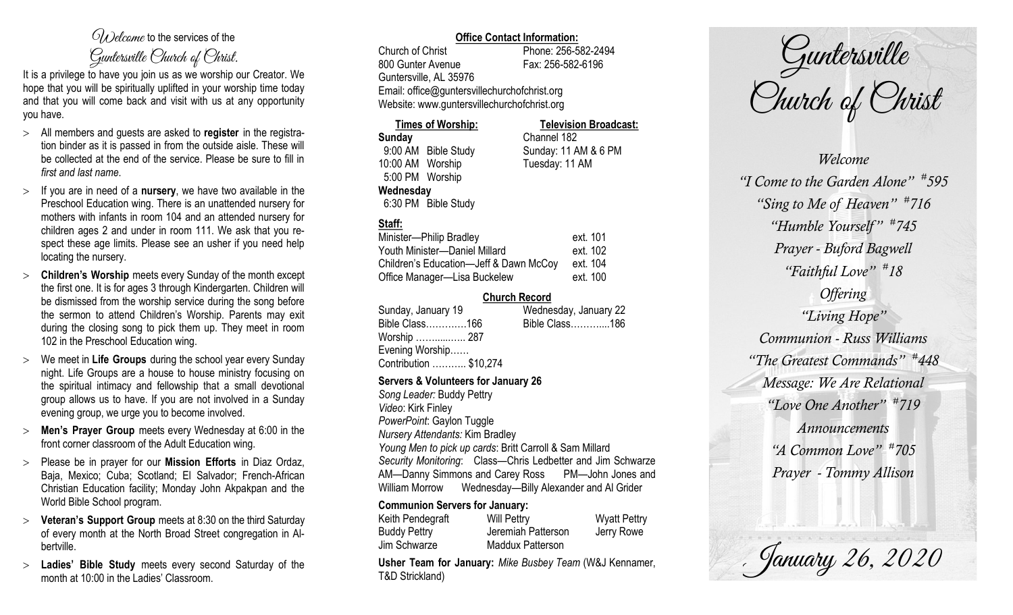# $\mathcal{O}_{\lambda}$  decame to the services of the Guntersville Church of Christ.

It is a privilege to have you join us as we worship our Creator. We hope that you will be spiritually uplifted in your worship time today and that you will come back and visit with us at any opportunity you have.

- All members and guests are asked to **register** in the registration binder as it is passed in from the outside aisle. These will be collected at the end of the service. Please be sure to fill in *first and last name*.
- $>$  If you are in need of a **nursery**, we have two available in the Preschool Education wing. There is an unattended nursery for mothers with infants in room 104 and an attended nursery for children ages 2 and under in room 111. We ask that you respect these age limits. Please see an usher if you need help locating the nursery.
- **Children's Worship** meets every Sunday of the month except the first one. It is for ages 3 through Kindergarten. Children will be dismissed from the worship service during the song before the sermon to attend Children's Worship. Parents may exit during the closing song to pick them up. They meet in room 102 in the Preschool Education wing.
- We meet in **Life Groups** during the school year every Sunday night. Life Groups are a house to house ministry focusing on the spiritual intimacy and fellowship that a small devotional group allows us to have. If you are not involved in a Sunday evening group, we urge you to become involved.
- **Men's Prayer Group** meets every Wednesday at 6:00 in the front corner classroom of the Adult Education wing.
- Please be in prayer for our **Mission Efforts** in Diaz Ordaz, Baja, Mexico; Cuba; Scotland; El Salvador; French-African Christian Education facility; Monday John Akpakpan and the World Bible School program.
- **Veteran's Support Group** meets at 8:30 on the third Saturday of every month at the North Broad Street congregation in Albertville.
- **Ladies' Bible Study** meets every second Saturday of the month at 10:00 in the Ladies' Classroom.

### **Office Contact Information:**

Church of Christ Phone: 256-582-2494 800 Gunter Avenue Fax: 256-582-6196 Guntersville, AL 35976 Email: office@guntersvillechurchofchrist.org Website: www.guntersvillechurchofchrist.org

**Times of Worship: Television Broadcast: Sunday** Channel 182 9:00 AM Bible Study Sunday: 11 AM & 6 PM 10:00 AM Worship Tuesday: 11 AM 5:00 PM Worship

#### **Wednesday**

6:30 PM Bible Study

## **Staff:**

| Minister-Philip Bradley                | ext. 101 |
|----------------------------------------|----------|
| Youth Minister-Daniel Millard          | ext. 102 |
| Children's Education-Jeff & Dawn McCoy | ext. 104 |
| Office Manager-Lisa Buckelew           | ext. 100 |

#### **Church Record**

| Sunday, January 19     | Wednesday, January 22 |
|------------------------|-----------------------|
| Bible Class166         | Bible Class186        |
| Worship  287           |                       |
| Evening Worship        |                       |
| Contribution  \$10,274 |                       |
|                        |                       |

#### **Servers & Volunteers for January 26**

*Song Leader:* Buddy Pettry *Video*: Kirk Finley *PowerPoint*: Gaylon Tuggle *Nursery Attendants:* Kim Bradley *Young Men to pick up cards*: Britt Carroll & Sam Millard *Security Monitoring*: Class—Chris Ledbetter and Jim Schwarze AM—Danny Simmons and Carey Ross PM—John Jones and William Morrow Wednesday—Billy Alexander and Al Grider

#### **Communion Servers for January:**

| Keith Pendegraft    | <b>Will Pettry</b>      | <b>Wyatt Pettry</b> |
|---------------------|-------------------------|---------------------|
| <b>Buddy Pettry</b> | Jeremiah Patterson      | Jerry Rowe          |
| Jim Schwarze        | <b>Maddux Patterson</b> |                     |

**Usher Team for January:** *Mike Busbey Team* (W&J Kennamer, T&D Strickland)

Guntersville<br>Church of Christ

*Welcome "I Come to the Garden Alone" # 595 "Sing to Me of Heaven" # 716 "Humble Yourself " # 745 Prayer - Buford Bagwell "Faithful Love" # 18 Offering "Living Hope" Communion - Russ Williams "The Greatest Commands" # 448 Message: We Are Relational "Love One Another" # 719 Announcements "A Common Love" # 705 Prayer - Tommy Allison*

. January 26, 2020